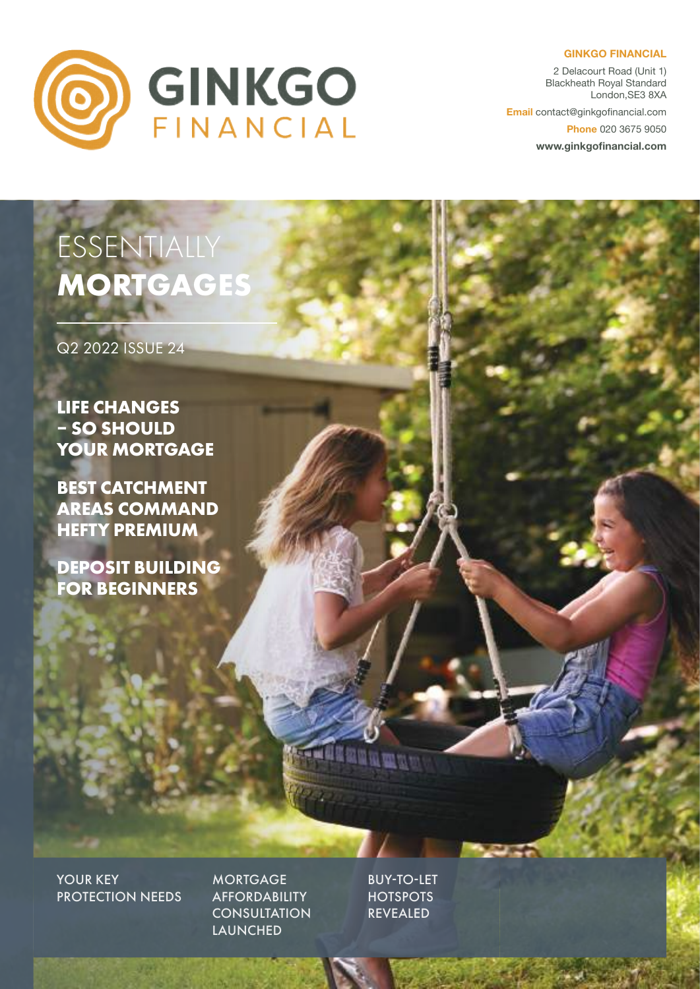#### **GINKGO FINANCIAL**



2 Delacourt Road (Unit 1) Blackheath Royal Standard London,SE3 8XA

**Email** contact@ginkgofinancial.com

**Phone** 020 3675 9050

**www.ginkgofinancial.com**

# ESSENTIALLY **MORTGAGES**

Q2 2022 ISSUE 24

**LIFE CHANGES – SO SHOULD YOUR MORTGAGE**

**BEST CATCHMENT AREAS COMMAND HEFTY PREMIUM**

**DEPOSIT BUILDING FOR BEGINNERS**

YOUR **KEY** PROTECTION NEEDS

**MORTGAGE AFFORDABILITY CONSULTATION** LAUNCHED

BUY-TO-LET **HOTSPOTS** REVEALED

**THE REAL PROPERTY**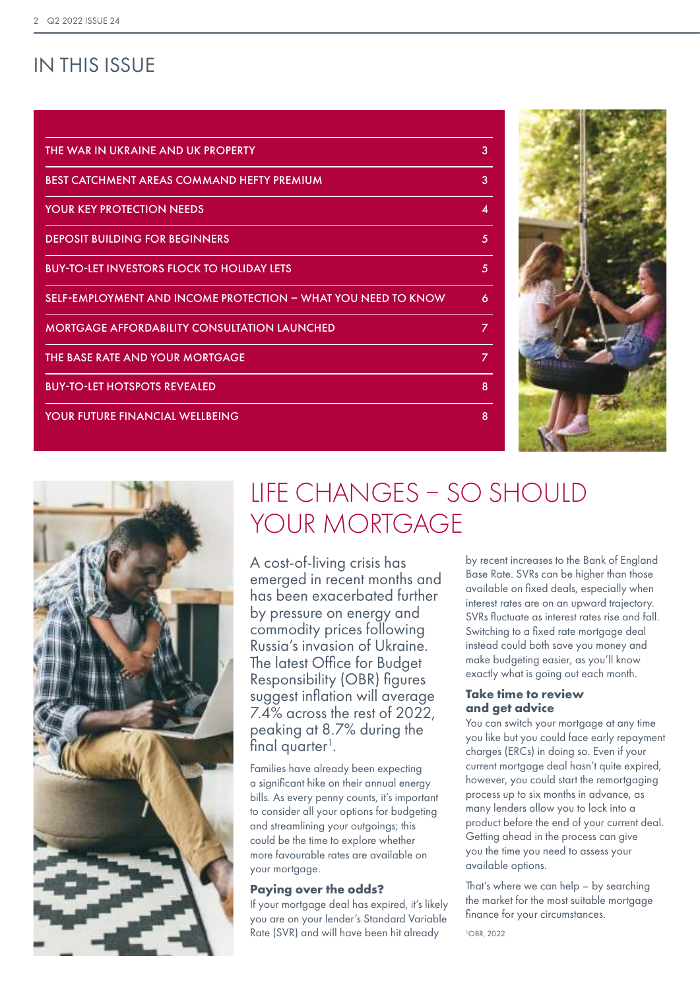# IN THIS ISSUE

| THE WAR IN UKRAINE AND UK PROPERTY                            | 3 |
|---------------------------------------------------------------|---|
| BEST CATCHMENT AREAS COMMAND HEFTY PREMIUM                    | 3 |
| <b>YOUR KEY PROTECTION NEEDS</b>                              | 4 |
| <b>DEPOSIT BUILDING FOR BEGINNERS</b>                         | 5 |
| <b>BUY-TO-LET INVESTORS FLOCK TO HOLIDAY LETS</b>             | 5 |
| SELF-EMPLOYMENT AND INCOME PROTECTION - WHAT YOU NEED TO KNOW | 6 |
| <b>MORTGAGE AFFORDABILITY CONSULTATION LAUNCHED</b>           | 7 |
| THE BASE RATE AND YOUR MORTGAGE                               | 7 |
| <b>BUY-TO-LET HOTSPOTS REVEALED</b>                           | 8 |
| YOUR FUTURE FINANCIAL WELLBEING                               | 8 |
|                                                               |   |





# LIFE CHANGES – SO SHOULD YOUR MORTGAGE

A cost-of-living crisis has emerged in recent months and has been exacerbated further by pressure on energy and commodity prices following Russia's invasion of Ukraine. The latest Office for Budget Responsibility (OBR) figures suggest inflation will average 7.4% across the rest of 2022, peaking at 8.7% during the  $final$  quarter<sup>1</sup>.

Families have already been expecting a significant hike on their annual energy bills. As every penny counts, it's important to consider all your options for budgeting and streamlining your outgoings; this could be the time to explore whether more favourable rates are available on your mortgage.

## **Paying over the odds?**

If your mortgage deal has expired, it's likely you are on your lender's Standard Variable Rate (SVR) and will have been hit already

by recent increases to the Bank of England Base Rate. SVRs can be higher than those available on fixed deals, especially when interest rates are on an upward trajectory. SVRs fluctuate as interest rates rise and fall. Switching to a fixed rate mortgage deal instead could both save you money and make budgeting easier, as you'll know exactly what is going out each month.

## **Take time to review and get advice**

You can switch your mortgage at any time you like but you could face early repayment charges (ERCs) in doing so. Even if your current mortgage deal hasn't quite expired, however, you could start the remortgaging process up to six months in advance, as many lenders allow you to lock into a product before the end of your current deal. Getting ahead in the process can give you the time you need to assess your available options.

That's where we can help – by searching the market for the most suitable mortgage finance for your circumstances.

1 OBR, 2022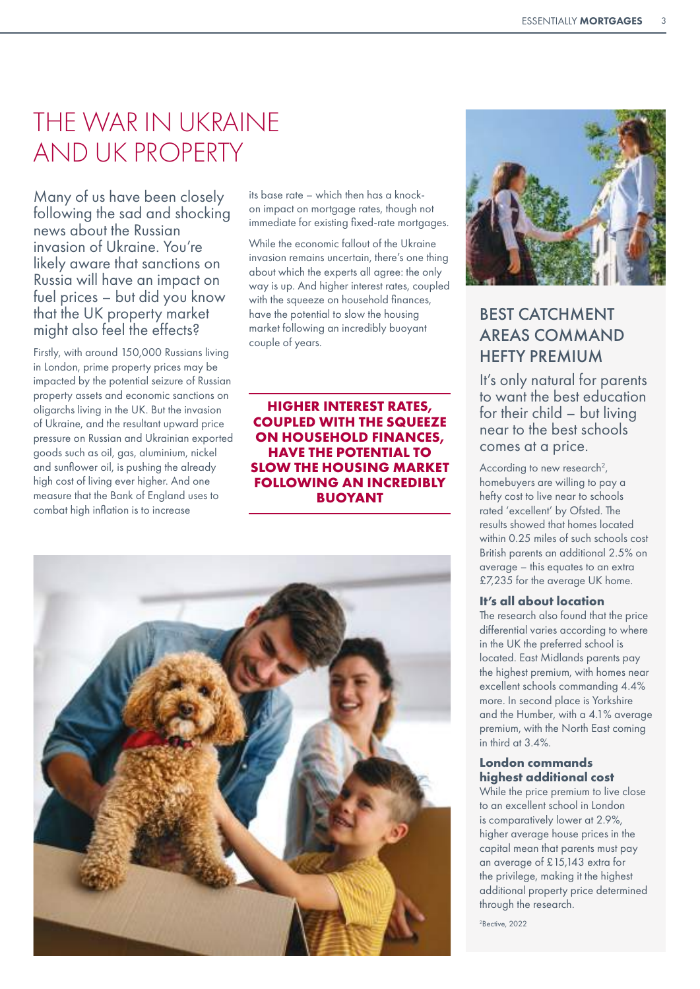# THE WAR IN UKRAINE AND UK PROPERTY

Many of us have been closely following the sad and shocking news about the Russian invasion of Ukraine. You're likely aware that sanctions on Russia will have an impact on fuel prices – but did you know that the UK property market might also feel the effects?

Firstly, with around 150,000 Russians living in London, prime property prices may be impacted by the potential seizure of Russian property assets and economic sanctions on oligarchs living in the UK. But the invasion of Ukraine, and the resultant upward price pressure on Russian and Ukrainian exported goods such as oil, gas, aluminium, nickel and sunflower oil, is pushing the already high cost of living ever higher. And one measure that the Bank of England uses to combat high inflation is to increase

its base rate – which then has a knockon impact on mortgage rates, though not immediate for existing fixed-rate mortgages.

While the economic fallout of the Ukraine invasion remains uncertain, there's one thing about which the experts all agree: the only way is up. And higher interest rates, coupled with the squeeze on household finances, have the potential to slow the housing market following an incredibly buoyant couple of years.

**HIGHER INTEREST RATES, COUPLED WITH THE SQUEEZE ON HOUSEHOLD FINANCES, HAVE THE POTENTIAL TO SLOW THE HOUSING MARKET FOLLOWING AN INCREDIBLY BUOYANT** 





# BEST CATCHMENT AREAS COMMAND HEFTY PREMIUM

It's only natural for parents to want the best education for their child – but living near to the best schools comes at a price.

According to new research<sup>2</sup>, homebuyers are willing to pay a hefty cost to live near to schools rated 'excellent' by Ofsted. The results showed that homes located within 0.25 miles of such schools cost British parents an additional 2.5% on average – this equates to an extra £7,235 for the average UK home.

## **It's all about location**

The research also found that the price differential varies according to where in the UK the preferred school is located. East Midlands parents pay the highest premium, with homes near excellent schools commanding 4.4% more. In second place is Yorkshire and the Humber, with a 4.1% average premium, with the North East coming in third at 3.4%.

#### **London commands highest additional cost**

While the price premium to live close to an excellent school in London is comparatively lower at 2.9%, higher average house prices in the capital mean that parents must pay an average of £15,143 extra for the privilege, making it the highest additional property price determined through the research.

2 Bective, 2022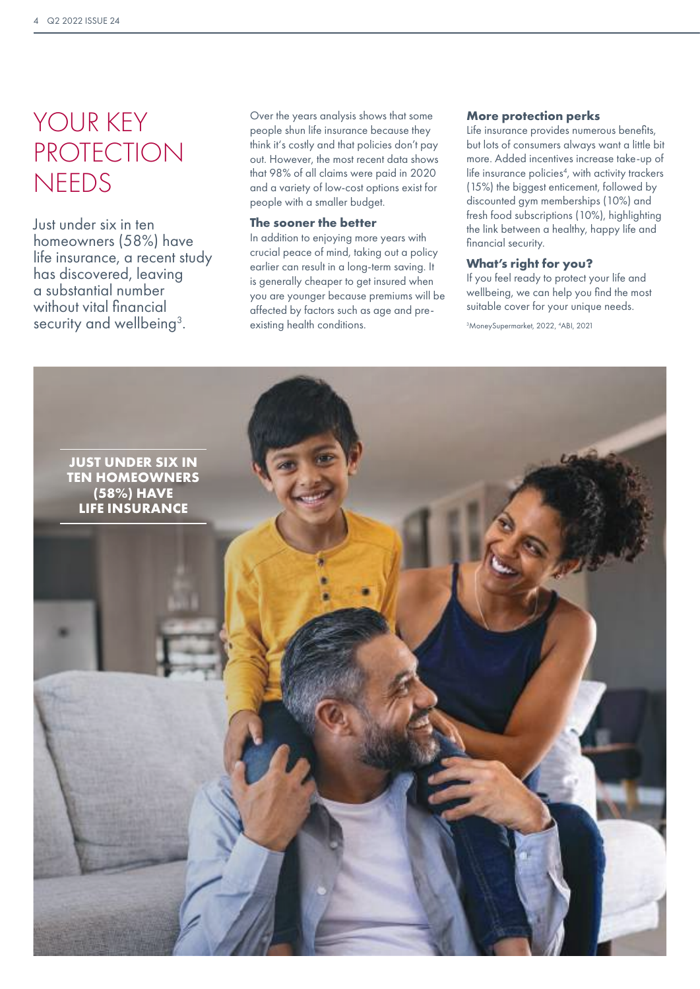# YOUR KEY PROTECTION **NEEDS**

Just under six in ten homeowners (58%) have life insurance, a recent study has discovered, leaving a substantial number without vital financial security and wellbeing<sup>3</sup>.

Over the years analysis shows that some people shun life insurance because they think it's costly and that policies don't pay out. However, the most recent data shows that 98% of all claims were paid in 2020 and a variety of low-cost options exist for people with a smaller budget.

#### **The sooner the better**

In addition to enjoying more years with crucial peace of mind, taking out a policy earlier can result in a long-term saving. It is generally cheaper to get insured when you are younger because premiums will be affected by factors such as age and preexisting health conditions.

### **More protection perks**

Life insurance provides numerous benefits, but lots of consumers always want a little bit more. Added incentives increase take-up of life insurance policies<sup>4</sup>, with activity trackers (15%) the biggest enticement, followed by discounted gym memberships (10%) and fresh food subscriptions (10%), highlighting the link between a healthy, happy life and financial security.

## **What's right for you?**

If you feel ready to protect your life and wellbeing, we can help you find the most suitable cover for your unique needs.

3 MoneySupermarket, 2022, 4 ABI, 2021

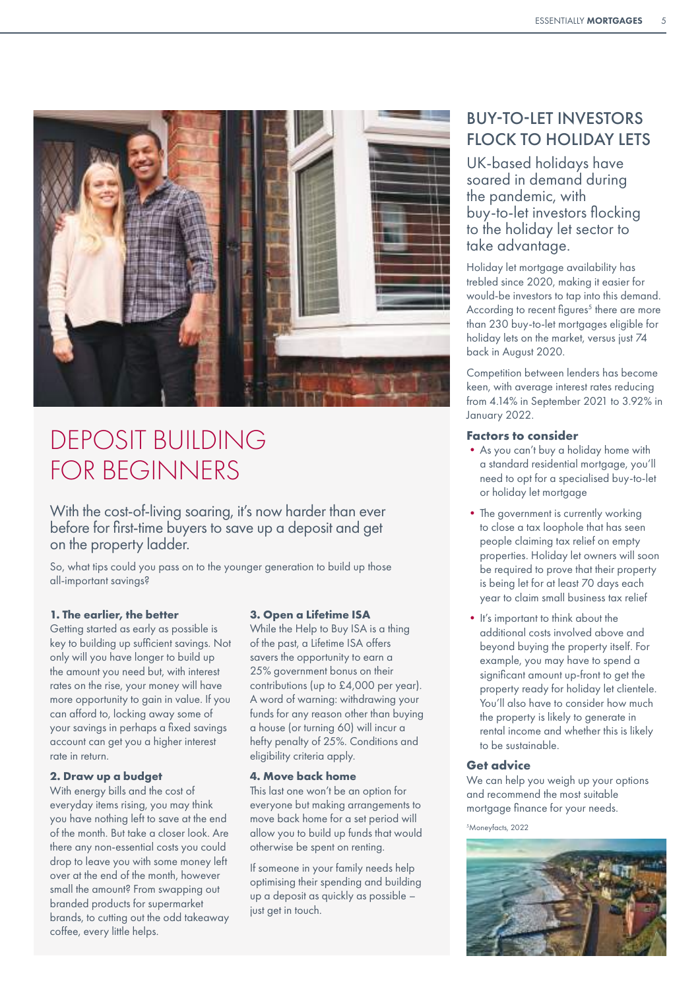

# DEPOSIT BUILDING FOR BEGINNERS

With the cost-of-living soaring, it's now harder than ever before for first-time buyers to save up a deposit and get on the property ladder.

So, what tips could you pass on to the younger generation to build up those all-important savings?

## **1. The earlier, the better**

Getting started as early as possible is key to building up sufficient savings. Not only will you have longer to build up the amount you need but, with interest rates on the rise, your money will have more opportunity to gain in value. If you can afford to, locking away some of your savings in perhaps a fixed savings account can get you a higher interest rate in return.

### **2. Draw up a budget**

With energy bills and the cost of everyday items rising, you may think you have nothing left to save at the end of the month. But take a closer look. Are there any non-essential costs you could drop to leave you with some money left over at the end of the month, however small the amount? From swapping out branded products for supermarket brands, to cutting out the odd takeaway coffee, every little helps.

#### **3. Open a Lifetime ISA**

While the Help to Buy ISA is a thing of the past, a Lifetime ISA offers savers the opportunity to earn a 25% government bonus on their contributions (up to £4,000 per year). A word of warning: withdrawing your funds for any reason other than buying a house (or turning 60) will incur a hefty penalty of 25%. Conditions and eligibility criteria apply.

#### **4. Move back home**

This last one won't be an option for everyone but making arrangements to move back home for a set period will allow you to build up funds that would otherwise be spent on renting.

If someone in your family needs help optimising their spending and building up a deposit as quickly as possible – just get in touch.

# BUY-TO-LET INVESTORS FLOCK TO HOLIDAY LETS

UK-based holidays have soared in demand during the pandemic, with buy-to-let investors flocking to the holiday let sector to take advantage.

Holiday let mortgage availability has trebled since 2020, making it easier for would-be investors to tap into this demand. According to recent figures<sup>5</sup> there are more than 230 buy-to-let mortgages eligible for holiday lets on the market, versus just 74 back in August 2020.

Competition between lenders has become keen, with average interest rates reducing from 4.14% in September 2021 to 3.92% in January 2022.

#### **Factors to consider**

- •As you can't buy a holiday home with a standard residential mortgage, you'll need to opt for a specialised buy-to-let or holiday let mortgage
- The government is currently working to close a tax loophole that has seen people claiming tax relief on empty properties. Holiday let owners will soon be required to prove that their property is being let for at least 70 days each year to claim small business tax relief
- It's important to think about the additional costs involved above and beyond buying the property itself. For example, you may have to spend a significant amount up-front to get the property ready for holiday let clientele. You'll also have to consider how much the property is likely to generate in rental income and whether this is likely to be sustainable.

## **Get advice**

We can help you weigh up your options and recommend the most suitable mortgage finance for your needs.

5 Moneyfacts, 2022

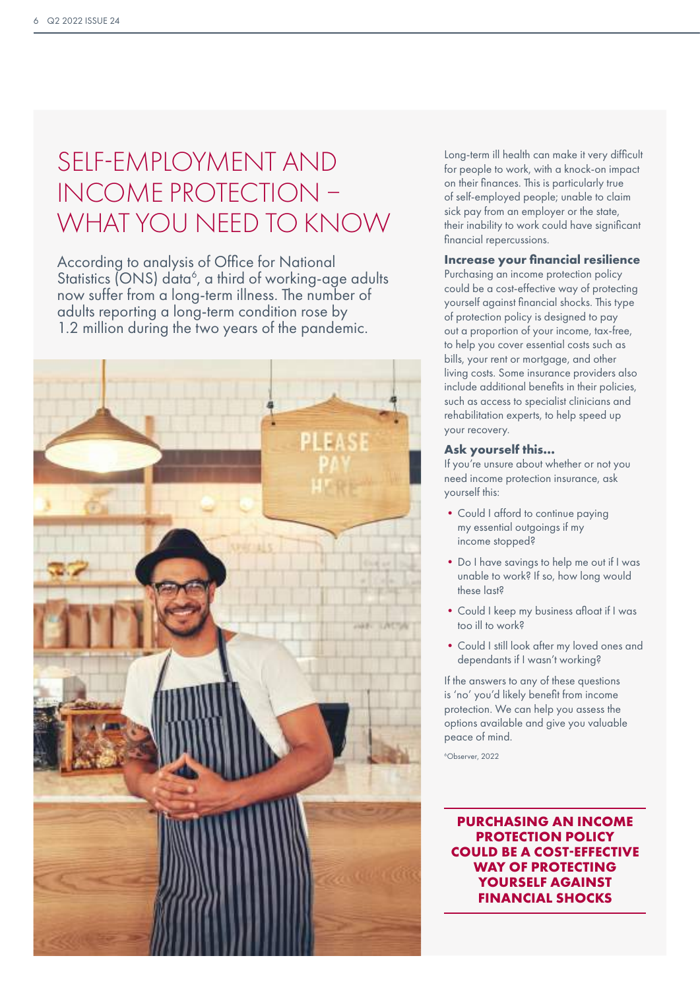# SELF-EMPLOYMENT AND INCOME PROTECTION – WHAT YOU NEED TO KNOW

According to analysis of Office for National Statistics (ONS) data<sup>6</sup>, a third of working-age adults now suffer from a long-term illness. The number of adults reporting a long-term condition rose by 1.2 million during the two years of the pandemic.



Long-term ill health can make it very difficult for people to work, with a knock-on impact on their finances. This is particularly true of self-employed people; unable to claim sick pay from an employer or the state, their inability to work could have significant financial repercussions.

## **Increase your financial resilience**

Purchasing an income protection policy could be a cost-effective way of protecting yourself against financial shocks. This type of protection policy is designed to pay out a proportion of your income, tax-free, to help you cover essential costs such as bills, your rent or mortgage, and other living costs. Some insurance providers also include additional benefits in their policies, such as access to specialist clinicians and rehabilitation experts, to help speed up your recovery.

#### **Ask yourself this…**

If you're unsure about whether or not you need income protection insurance, ask yourself this:

- Could I afford to continue paying my essential outgoings if my income stopped?
- •Do I have savings to help me out if I was unable to work? If so, how long would these last?
- •Could I keep my business afloat if I was too ill to work?
- •Could I still look after my loved ones and dependants if I wasn't working?

If the answers to any of these questions is 'no' you'd likely benefit from income protection. We can help you assess the options available and give you valuable peace of mind.

6 Observer, 2022

**PURCHASING AN INCOME PROTECTION POLICY COULD BE A COST-EFFECTIVE WAY OF PROTECTING YOURSELF AGAINST FINANCIAL SHOCKS**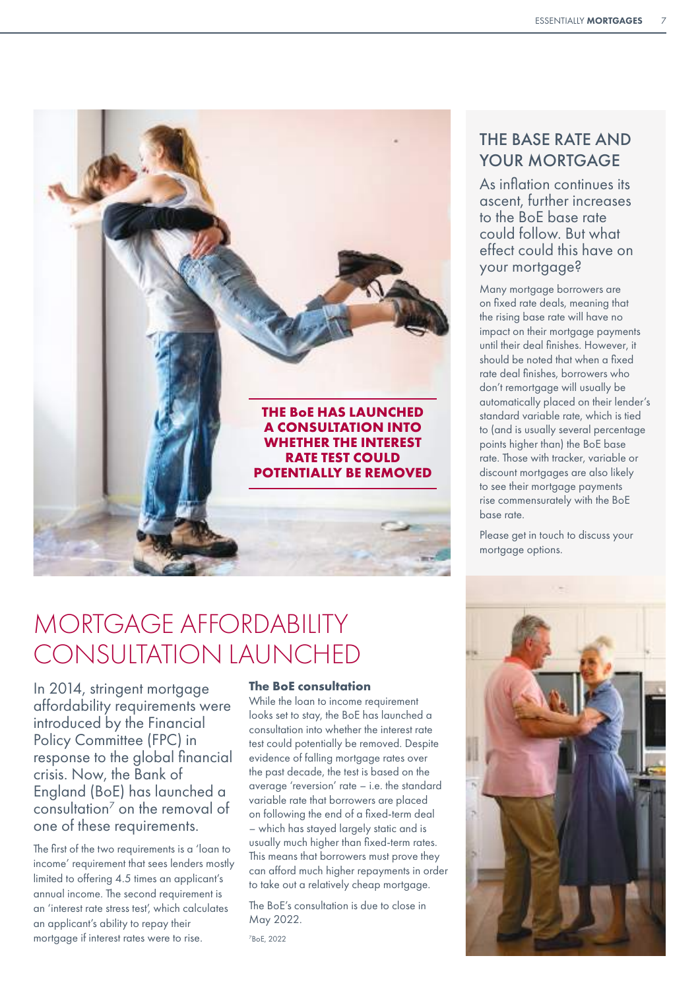

# MORTGAGE AFFORDABILITY CONSULTATION LAUNCHED

In 2014, stringent mortgage affordability requirements were introduced by the Financial Policy Committee (FPC) in response to the global financial crisis. Now, the Bank of England (BoE) has launched a consultation<sup>7</sup> on the removal of one of these requirements.

The first of the two requirements is a 'loan to income' requirement that sees lenders mostly limited to offering 4.5 times an applicant's annual income. The second requirement is an 'interest rate stress test', which calculates an applicant's ability to repay their mortgage if interest rates were to rise.

## **The BoE consultation**

While the loan to income requirement looks set to stay, the BoE has launched a consultation into whether the interest rate test could potentially be removed. Despite evidence of falling mortgage rates over the past decade, the test is based on the average 'reversion' rate – i.e. the standard variable rate that borrowers are placed on following the end of a fixed-term deal – which has stayed largely static and is usually much higher than fixed-term rates. This means that borrowers must prove they can afford much higher repayments in order to take out a relatively cheap mortgage.

The BoE's consultation is due to close in May 2022.

7 BoE, 2022

## THE BASE RATE AND YOUR MORTGAGE

As inflation continues its ascent, further increases to the BoE base rate could follow. But what effect could this have on your mortgage?

Many mortgage borrowers are on fixed rate deals, meaning that the rising base rate will have no impact on their mortgage payments until their deal finishes. However, it should be noted that when a fixed rate deal finishes, borrowers who don't remortgage will usually be automatically placed on their lender's standard variable rate, which is tied to (and is usually several percentage points higher than) the BoE base rate. Those with tracker, variable or discount mortgages are also likely to see their mortgage payments rise commensurately with the BoE base rate.

Please get in touch to discuss your mortgage options.